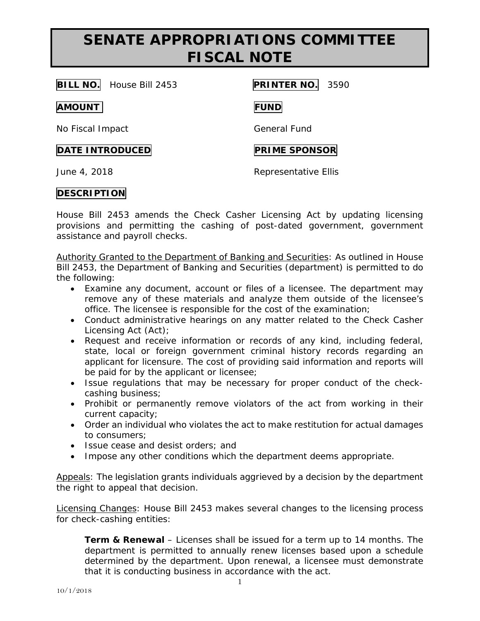# **SENATE APPROPRIATIONS COMMITTEE FISCAL NOTE**

**BILL NO.** House Bill 2453 **PRINTER NO.** 3590

## **AMOUNT FUND**

No Fiscal Impact General Fund

## **DATE INTRODUCED PRIME SPONSOR**

June 4, 2018 **Representative Ellis** 

# **DESCRIPTION**

House Bill 2453 amends the Check Casher Licensing Act by updating licensing provisions and permitting the cashing of post-dated government, government assistance and payroll checks.

Authority Granted to the Department of Banking and Securities: As outlined in House Bill 2453, the Department of Banking and Securities (department) is permitted to do the following:

- Examine any document, account or files of a licensee. The department may remove any of these materials and analyze them outside of the licensee's office. The licensee is responsible for the cost of the examination;
- Conduct administrative hearings on any matter related to the Check Casher Licensing Act (Act);
- Request and receive information or records of any kind, including federal, state, local or foreign government criminal history records regarding an applicant for licensure. The cost of providing said information and reports will be paid for by the applicant or licensee;
- Issue regulations that may be necessary for proper conduct of the checkcashing business;
- Prohibit or permanently remove violators of the act from working in their current capacity;
- Order an individual who violates the act to make restitution for actual damages to consumers;
- Issue cease and desist orders; and
- Impose any other conditions which the department deems appropriate.

Appeals: The legislation grants individuals aggrieved by a decision by the department the right to appeal that decision.

Licensing Changes: House Bill 2453 makes several changes to the licensing process for check-cashing entities:

**Term & Renewal** – Licenses shall be issued for a term up to 14 months. The department is permitted to annually renew licenses based upon a schedule determined by the department. Upon renewal, a licensee must demonstrate that it is conducting business in accordance with the act.